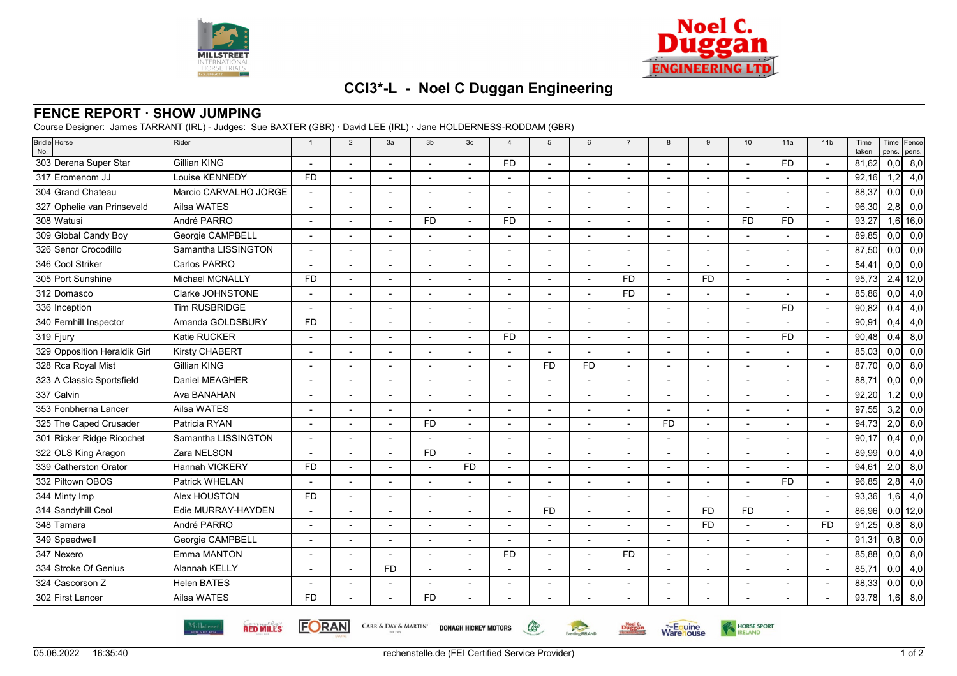



HORSE SPORT

**Warehouse** 

## **CCI3\*-L - Noel C Duggan Engineering**

## **FENCE REPORT · SHOW JUMPING**

Course Designer: James TARRANT (IRL) - Judges: Sue BAXTER (GBR) · David LEE (IRL) · Jane HOLDERNESS-RODDAM (GBR)

| Bridle Horse<br>No.          | Rider                 | $\overline{1}$ | $\overline{2}$           | 3a                       | 3 <sub>b</sub> | 3 <sub>c</sub>           | $\overline{4}$           | 5         | 6                        | $\overline{7}$           | 8         | 9                        | 10             | 11a       | 11 <sub>b</sub>          | Time<br>taken | pens. | Time Fence<br>pens. |
|------------------------------|-----------------------|----------------|--------------------------|--------------------------|----------------|--------------------------|--------------------------|-----------|--------------------------|--------------------------|-----------|--------------------------|----------------|-----------|--------------------------|---------------|-------|---------------------|
| 303 Derena Super Star        | <b>Gillian KING</b>   |                |                          |                          |                |                          | <b>FD</b>                |           |                          |                          |           |                          |                | <b>FD</b> |                          | 81,62         | 0,0   | 8,0                 |
| 317 Eromenom JJ              | Louise KENNEDY        | <b>FD</b>      | $\overline{\phantom{a}}$ | $\overline{\phantom{a}}$ |                | $\blacksquare$           | $\blacksquare$           |           | $\overline{\phantom{a}}$ | $\overline{\phantom{a}}$ |           | $\overline{\phantom{a}}$ |                |           | $\overline{\phantom{a}}$ | 92,16         | 1,2   | 4,0                 |
| 304 Grand Chateau            | Marcio CARVALHO JORGE |                |                          |                          |                |                          |                          |           |                          |                          |           |                          |                |           |                          | 88,37         | 0, 0  | 0,0                 |
| 327 Ophelie van Prinseveld   | Ailsa WATES           |                |                          |                          |                | $\overline{a}$           |                          |           |                          |                          |           |                          |                |           | $\overline{\phantom{a}}$ | 96,30         | 2,8   | 0,0                 |
| 308 Watusi                   | André PARRO           |                |                          |                          | <b>FD</b>      |                          | <b>FD</b>                |           |                          |                          |           |                          | <b>FD</b>      | <b>FD</b> |                          | 93,27         |       | $1,6$ 16,0          |
| 309 Global Candy Boy         | Georgie CAMPBELL      |                |                          |                          |                |                          |                          |           |                          |                          |           |                          |                |           |                          | 89,85         | 0,0   | 0,0                 |
| 326 Senor Crocodillo         | Samantha LISSINGTON   |                |                          |                          |                | $\overline{a}$           |                          |           | $\overline{a}$           |                          |           |                          |                |           | $\overline{\phantom{a}}$ | 87,50         | 0,0   | 0,0                 |
| 346 Cool Striker             | Carlos PARRO          |                |                          |                          |                |                          |                          |           |                          |                          |           |                          |                |           |                          | 54,41         | 0, 0  | 0,0                 |
| 305 Port Sunshine            | Michael MCNALLY       | <b>FD</b>      |                          |                          |                |                          |                          |           |                          | <b>FD</b>                |           | <b>FD</b>                |                |           |                          | 95,73         |       | $2,4$ 12,0          |
| 312 Domasco                  | Clarke JOHNSTONE      |                | $\overline{\phantom{a}}$ | $\blacksquare$           |                | $\blacksquare$           | $\blacksquare$           |           | $\blacksquare$           | <b>FD</b>                |           |                          | $\blacksquare$ |           | $\overline{\phantom{a}}$ | 85,86         | 0,0   | 4,0                 |
| 336 Inception                | <b>Tim RUSBRIDGE</b>  |                |                          |                          |                |                          |                          |           |                          |                          |           |                          |                | <b>FD</b> |                          | 90,82         | 0,4   | 4,0                 |
| 340 Fernhill Inspector       | Amanda GOLDSBURY      | <b>FD</b>      |                          |                          |                |                          |                          |           |                          |                          |           |                          |                |           | $\overline{a}$           | 90,91         | 0,4   | 4,0                 |
| 319 Fjury                    | Katie RUCKER          |                |                          |                          |                |                          | <b>FD</b>                |           |                          | $\overline{\phantom{a}}$ |           |                          |                | <b>FD</b> |                          | 90.48         | 0,4   | 8,0                 |
| 329 Opposition Heraldik Girl | <b>Kirsty CHABERT</b> |                |                          |                          |                |                          |                          |           |                          |                          |           |                          |                |           |                          | 85,03         | 0,0   | 0,0                 |
| 328 Rca Royal Mist           | <b>Gillian KING</b>   |                |                          |                          |                | ٠                        | $\overline{\phantom{a}}$ | <b>FD</b> | <b>FD</b>                | $\overline{\phantom{a}}$ |           |                          |                |           | $\overline{\phantom{a}}$ | 87,70         | 0,0   | 8,0                 |
| 323 A Classic Sportsfield    | Daniel MEAGHER        |                |                          | $\blacksquare$           |                |                          | $\overline{\phantom{a}}$ |           |                          | $\overline{\phantom{a}}$ |           |                          |                |           |                          | 88,71         | 0,0   | 0,0                 |
| 337 Calvin                   | Ava BANAHAN           |                |                          |                          |                |                          |                          |           |                          |                          |           |                          |                |           |                          | 92,20         | 1,2   | 0,0                 |
| 353 Fonbherna Lancer         | Ailsa WATES           |                |                          |                          |                |                          |                          |           |                          |                          |           |                          |                |           |                          | 97,55         | 3,2   | 0,0                 |
| 325 The Caped Crusader       | Patricia RYAN         |                |                          |                          | <b>FD</b>      |                          |                          |           |                          |                          | <b>FD</b> |                          |                |           |                          | 94,73         | 2,0   | 8,0                 |
| 301 Ricker Ridge Ricochet    | Samantha LISSINGTON   |                |                          |                          |                | $\overline{a}$           | $\overline{\phantom{0}}$ |           | $\overline{\phantom{a}}$ |                          |           |                          |                |           | $\overline{a}$           | 90,17         | 0,4   | 0,0                 |
| 322 OLS King Aragon          | Zara NELSON           |                |                          |                          | <b>FD</b>      |                          |                          |           |                          |                          |           |                          |                |           |                          | 89,99         | 0,0   | 4,0                 |
| 339 Catherston Orator        | <b>Hannah VICKERY</b> | <b>FD</b>      |                          |                          |                | <b>FD</b>                |                          |           |                          |                          |           |                          |                |           |                          | 94,61         | 2,0   | 8,0                 |
| 332 Piltown OBOS             | Patrick WHELAN        |                | $\overline{a}$           |                          |                |                          | $\blacksquare$           |           |                          |                          |           |                          | $\blacksquare$ | <b>FD</b> | $\overline{\phantom{a}}$ | 96,85         | 2,8   | 4,0                 |
| 344 Minty Imp                | Alex HOUSTON          | <b>FD</b>      |                          |                          |                |                          |                          |           |                          |                          |           |                          |                |           |                          | 93,36         | 1,6   | 4,0                 |
| 314 Sandyhill Ceol           | Edie MURRAY-HAYDEN    |                |                          |                          |                |                          |                          | <b>FD</b> |                          |                          |           | <b>FD</b>                | <b>FD</b>      |           |                          | 86.96         |       | $0,0$ 12,0          |
| 348 Tamara                   | André PARRO           |                |                          | $\overline{\phantom{a}}$ |                | $\overline{\phantom{a}}$ | $\overline{\phantom{a}}$ |           | $\overline{a}$           | $\overline{\phantom{a}}$ |           | <b>FD</b>                | $\blacksquare$ |           | <b>FD</b>                | 91,25         | 0,8   | 8,0                 |
| 349 Speedwell                | Georgie CAMPBELL      |                |                          |                          |                |                          |                          |           |                          |                          |           |                          |                |           |                          | 91,31         | 0,8   | 0,0                 |
| 347 Nexero                   | Emma MANTON           |                | ٠                        | $\blacksquare$           |                | $\blacksquare$           | <b>FD</b>                |           | $\overline{\phantom{a}}$ | <b>FD</b>                |           | $\overline{\phantom{a}}$ | $\blacksquare$ |           | $\overline{\phantom{a}}$ | 85,88         | 0, 0  | 8,0                 |
| 334 Stroke Of Genius         | Alannah KELLY         |                |                          | <b>FD</b>                |                |                          |                          |           |                          |                          |           |                          |                |           |                          | 85,71         | 0,0   | 4,0                 |
| 324 Cascorson Z              | <b>Helen BATES</b>    |                |                          |                          |                |                          |                          |           |                          |                          |           |                          |                |           |                          | 88,33         | 0, 0  | 0,0                 |
| 302 First Lancer             | Ailsa WATES           | <b>FD</b>      |                          |                          | <b>FD</b>      |                          |                          |           |                          |                          |           |                          |                |           |                          | 93,78         | 1,6   | 8,0                 |
|                              |                       |                |                          |                          |                |                          |                          |           |                          |                          |           |                          |                |           |                          |               |       |                     |



**FORAN** 

CARR & DAY & MARTIN' DONAGH HICKEY MOTORS

 $\mathbb{G}$ 

Eventing RELAND